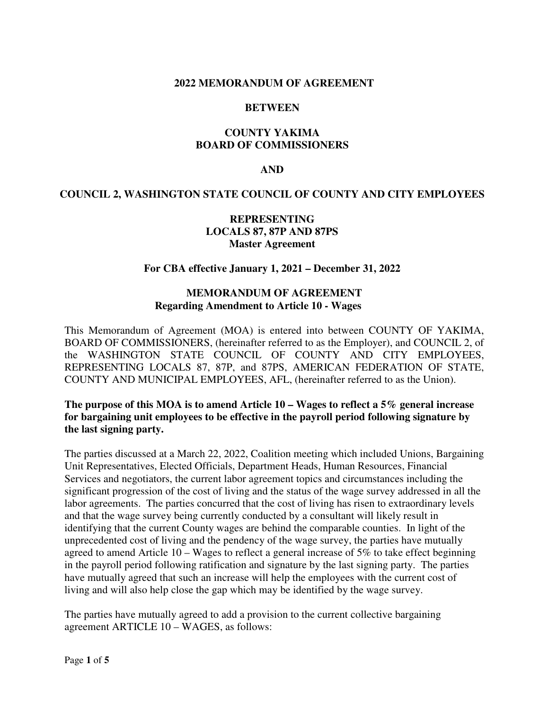### **2022 MEMORANDUM OF AGREEMENT**

#### **BETWEEN**

# **COUNTY YAKIMA BOARD OF COMMISSIONERS**

#### **AND**

# **COUNCIL 2, WASHINGTON STATE COUNCIL OF COUNTY AND CITY EMPLOYEES**

# **REPRESENTING LOCALS 87, 87P AND 87PS Master Agreement**

# **For CBA effective January 1, 2021 – December 31, 2022**

# **MEMORANDUM OF AGREEMENT Regarding Amendment to Article 10 - Wages**

This Memorandum of Agreement (MOA) is entered into between COUNTY OF YAKIMA, BOARD OF COMMISSIONERS, (hereinafter referred to as the Employer), and COUNCIL 2, of the WASHINGTON STATE COUNCIL OF COUNTY AND CITY EMPLOYEES, REPRESENTING LOCALS 87, 87P, and 87PS, AMERICAN FEDERATION OF STATE, COUNTY AND MUNICIPAL EMPLOYEES, AFL, (hereinafter referred to as the Union).

# **The purpose of this MOA is to amend Article 10 – Wages to reflect a 5% general increase for bargaining unit employees to be effective in the payroll period following signature by the last signing party.**

The parties discussed at a March 22, 2022, Coalition meeting which included Unions, Bargaining Unit Representatives, Elected Officials, Department Heads, Human Resources, Financial Services and negotiators, the current labor agreement topics and circumstances including the significant progression of the cost of living and the status of the wage survey addressed in all the labor agreements. The parties concurred that the cost of living has risen to extraordinary levels and that the wage survey being currently conducted by a consultant will likely result in identifying that the current County wages are behind the comparable counties. In light of the unprecedented cost of living and the pendency of the wage survey, the parties have mutually agreed to amend Article 10 – Wages to reflect a general increase of 5% to take effect beginning in the payroll period following ratification and signature by the last signing party. The parties have mutually agreed that such an increase will help the employees with the current cost of living and will also help close the gap which may be identified by the wage survey.

The parties have mutually agreed to add a provision to the current collective bargaining agreement ARTICLE 10 – WAGES, as follows: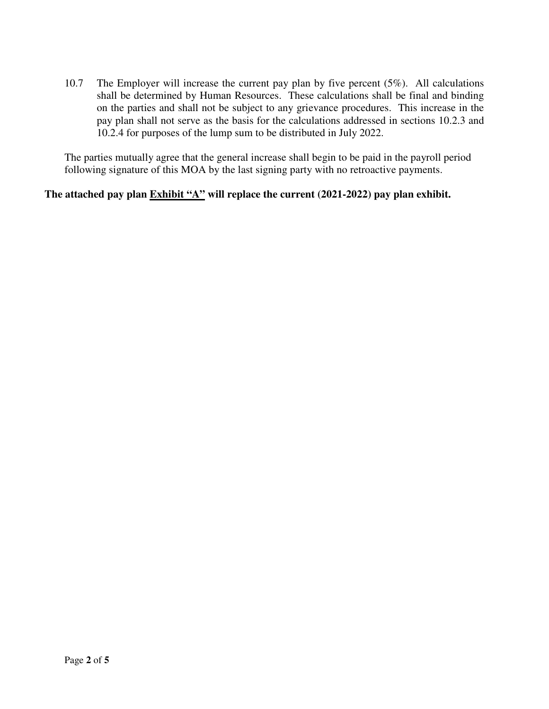10.7 The Employer will increase the current pay plan by five percent (5%). All calculations shall be determined by Human Resources. These calculations shall be final and binding on the parties and shall not be subject to any grievance procedures. This increase in the pay plan shall not serve as the basis for the calculations addressed in sections 10.2.3 and 10.2.4 for purposes of the lump sum to be distributed in July 2022.

The parties mutually agree that the general increase shall begin to be paid in the payroll period following signature of this MOA by the last signing party with no retroactive payments.

# The attached pay plan **Exhibit "A"** will replace the current (2021-2022) pay plan exhibit.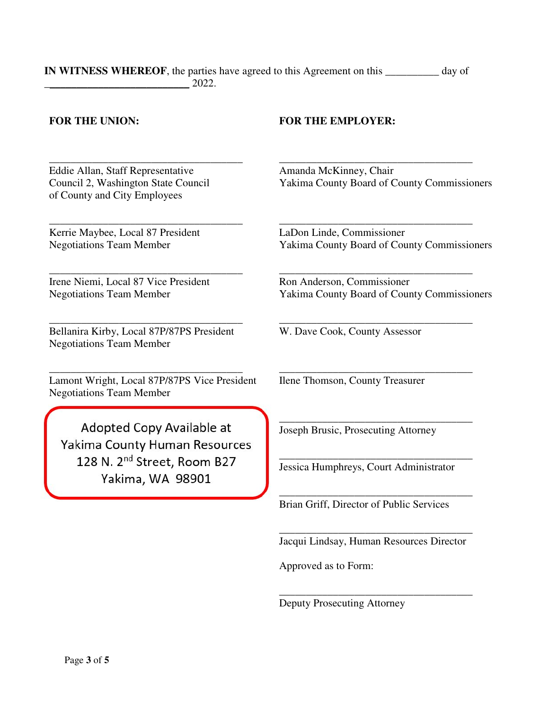#### **IN WITNESS WHEREOF**, the parties have agreed to this Agreement on this **\_\_\_\_\_\_\_\_\_\_** day of \_\_\_\_\_\_\_\_\_\_\_\_\_\_\_\_\_\_\_\_\_\_\_\_\_\_\_ 2022.

Eddie Allan, Staff Representative Council 2, Washington State Council of County and City Employees

\_\_\_\_\_\_\_\_\_\_\_\_\_\_\_\_\_\_\_\_\_\_\_\_\_\_\_\_\_\_\_\_\_\_\_\_

\_\_\_\_\_\_\_\_\_\_\_\_\_\_\_\_\_\_\_\_\_\_\_\_\_\_\_\_\_\_\_\_\_\_\_\_

\_\_\_\_\_\_\_\_\_\_\_\_\_\_\_\_\_\_\_\_\_\_\_\_\_\_\_\_\_\_\_\_\_\_\_\_

Kerrie Maybee, Local 87 President Negotiations Team Member

Irene Niemi, Local 87 Vice President Negotiations Team Member

Bellanira Kirby, Local 87P/87PS President Negotiations Team Member

\_\_\_\_\_\_\_\_\_\_\_\_\_\_\_\_\_\_\_\_\_\_\_\_\_\_\_\_\_\_\_\_\_\_\_\_

Lamont Wright, Local 87P/87PS Vice President Negotiations Team Member

\_\_\_\_\_\_\_\_\_\_\_\_\_\_\_\_\_\_\_\_\_\_\_\_\_\_\_\_\_\_\_\_\_\_\_\_

Adopted Copy Available at Yakima County Human Resources 128 N. 2<sup>nd</sup> Street, Room B27 Yakima, WA 98901

### **FOR THE UNION: FOR THE EMPLOYER:**

Amanda McKinney, Chair Yakima County Board of County Commissioners

\_\_\_\_\_\_\_\_\_\_\_\_\_\_\_\_\_\_\_\_\_\_\_\_\_\_\_\_\_\_\_\_\_\_\_\_

LaDon Linde, Commissioner Yakima County Board of County Commissioners

\_\_\_\_\_\_\_\_\_\_\_\_\_\_\_\_\_\_\_\_\_\_\_\_\_\_\_\_\_\_\_\_\_\_\_\_

\_\_\_\_\_\_\_\_\_\_\_\_\_\_\_\_\_\_\_\_\_\_\_\_\_\_\_\_\_\_\_\_\_\_\_\_

\_\_\_\_\_\_\_\_\_\_\_\_\_\_\_\_\_\_\_\_\_\_\_\_\_\_\_\_\_\_\_\_\_\_\_\_

\_\_\_\_\_\_\_\_\_\_\_\_\_\_\_\_\_\_\_\_\_\_\_\_\_\_\_\_\_\_\_\_\_\_\_\_

\_\_\_\_\_\_\_\_\_\_\_\_\_\_\_\_\_\_\_\_\_\_\_\_\_\_\_\_\_\_\_\_\_\_\_\_

\_\_\_\_\_\_\_\_\_\_\_\_\_\_\_\_\_\_\_\_\_\_\_\_\_\_\_\_\_\_\_\_\_\_\_\_

\_\_\_\_\_\_\_\_\_\_\_\_\_\_\_\_\_\_\_\_\_\_\_\_\_\_\_\_\_\_\_\_\_\_\_\_

Ron Anderson, Commissioner Yakima County Board of County Commissioners

W. Dave Cook, County Assessor

Ilene Thomson, County Treasurer

Joseph Brusic, Prosecuting Attorney

Jessica Humphreys, Court Administrator

Brian Griff, Director of Public Services

\_\_\_\_\_\_\_\_\_\_\_\_\_\_\_\_\_\_\_\_\_\_\_\_\_\_\_\_\_\_\_\_\_\_\_\_ Jacqui Lindsay, Human Resources Director

\_\_\_\_\_\_\_\_\_\_\_\_\_\_\_\_\_\_\_\_\_\_\_\_\_\_\_\_\_\_\_\_\_\_\_\_

Approved as to Form:

I

I

Deputy Prosecuting Attorney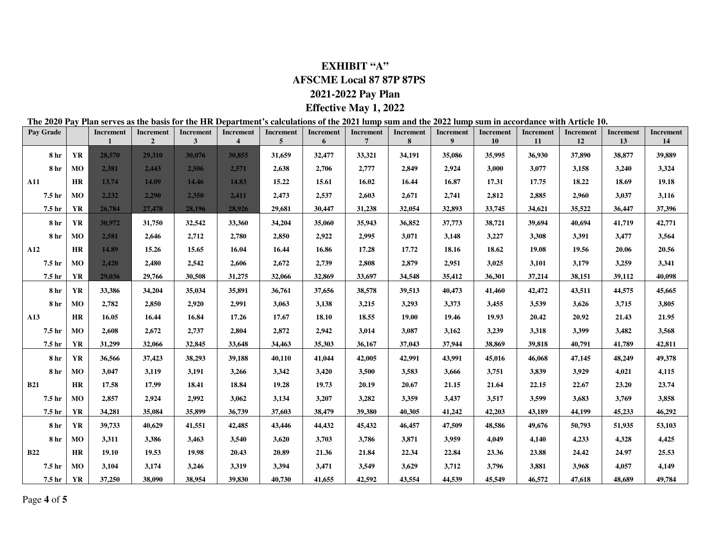# **EXHIBIT "A" AFSCME Local 87 87P 87PS 2021-2022 Pay Plan**

#### **Effective May 1, 2022**

#### **The 2020 Pay Plan serves as the basis for the HR Department's calculations of the 2021 lump sum and the 2022 lump sum in accordance with Article 10.**

| Pay Grade         |           | Increment | <b>Increment</b><br>$\overline{2}$ | <b>Increment</b><br>3 | <b>Increment</b><br>$\overline{\mathcal{L}}$ | <b>Increment</b><br>5 | <b>Increment</b><br>6 | <b>Increment</b><br>$\overline{7}$ | <b>Increment</b><br>8 | <b>Increment</b><br>9 | <b>Increment</b><br>10 | <b>Increment</b><br><b>11</b> | <b>Increment</b><br>12 | <b>Increment</b><br>13 | <b>Increment</b><br>14 |
|-------------------|-----------|-----------|------------------------------------|-----------------------|----------------------------------------------|-----------------------|-----------------------|------------------------------------|-----------------------|-----------------------|------------------------|-------------------------------|------------------------|------------------------|------------------------|
| 8 hr              | <b>YR</b> | 28,570    | 29,310                             | 30,076                | 30,855                                       | 31,659                | 32,477                | 33,321                             | 34,191                | 35,086                | 35,995                 | 36,930                        | 37,890                 | 38,877                 | 39,889                 |
| 8 hr              | MO        | 2,381     | 2,443                              | 2.506                 | 2,571                                        | 2,638                 | 2,706                 | 2,777                              | 2,849                 | 2,924                 | 3,000                  | 3,077                         | 3,158                  | 3,240                  | 3,324                  |
| A11               | <b>HR</b> | 13.74     | 14.09                              | 14.46                 | 14.83                                        | 15.22                 | 15.61                 | 16.02                              | 16.44                 | 16.87                 | 17.31                  | 17.75                         | 18.22                  | 18.69                  | 19.18                  |
| 7.5 <sub>hr</sub> | <b>MO</b> | 2,232     | 2,290                              | 2.350                 | 2.411                                        | 2,473                 | 2,537                 | 2,603                              | 2,671                 | 2,741                 | 2,812                  | 2,885                         | 2,960                  | 3,037                  | 3,116                  |
| 7.5 <sub>hr</sub> | <b>YR</b> | 26,784    | 27,478                             | 28,196                | 28,926                                       | 29,681                | 30.447                | 31,238                             | 32,054                | 32,893                | 33,745                 | 34,621                        | 35,522                 | 36,447                 | 37,396                 |
| 8 hr              | YR        | 30,972    | 31,750                             | 32,542                | 33,360                                       | 34,204                | 35,060                | 35,943                             | 36,852                | 37,773                | 38,721                 | 39,694                        | 40,694                 | 41,719                 | 42,771                 |
| <b>8</b> hr       | MO        | 2.581     | 2,646                              | 2,712                 | 2,780                                        | 2,850                 | 2,922                 | 2,995                              | 3,071                 | 3,148                 | 3,227                  | 3,308                         | 3,391                  | 3,477                  | 3,564                  |
| A12               | <b>HR</b> | 14.89     | 15.26                              | 15.65                 | 16.04                                        | 16.44                 | 16.86                 | 17.28                              | 17.72                 | 18.16                 | 18.62                  | 19.08                         | 19.56                  | 20.06                  | 20.56                  |
| 7.5 hr            | <b>MO</b> | 2.420     | 2,480                              | 2,542                 | 2,606                                        | 2,672                 | 2,739                 | 2,808                              | 2,879                 | 2,951                 | 3,025                  | 3,101                         | 3,179                  | 3,259                  | 3,341                  |
| 7.5 hr            | <b>YR</b> | 29,036    | 29,766                             | 30,508                | 31,275                                       | 32,066                | 32,869                | 33,697                             | 34,548                | 35,412                | 36,301                 | 37,214                        | 38,151                 | 39,112                 | 40,098                 |
| 8 hr              | YR        | 33,386    | 34,204                             | 35,034                | 35,891                                       | 36,761                | 37,656                | 38,578                             | 39,513                | 40,473                | 41,460                 | 42,472                        | 43,511                 | 44,575                 | 45,665                 |
| <b>8</b> hr       | <b>MO</b> | 2,782     | 2,850                              | 2,920                 | 2,991                                        | 3.063                 | 3,138                 | 3,215                              | 3,293                 | 3,373                 | 3,455                  | 3,539                         | 3,626                  | 3,715                  | 3,805                  |
| A13               | <b>HR</b> | 16.05     | 16.44                              | 16.84                 | 17.26                                        | 17.67                 | 18.10                 | 18.55                              | 19.00                 | 19.46                 | 19.93                  | 20.42                         | 20.92                  | 21.43                  | 21.95                  |
| 7.5 <sub>hr</sub> | <b>MO</b> | 2,608     | 2,672                              | 2,737                 | 2,804                                        | 2,872                 | 2,942                 | 3,014                              | 3,087                 | 3,162                 | 3,239                  | 3,318                         | 3,399                  | 3,482                  | 3,568                  |
| 7.5 hr            | <b>YR</b> | 31,299    | 32,066                             | 32,845                | 33,648                                       | 34,463                | 35,303                | 36,167                             | 37,043                | 37,944                | 38,869                 | 39,818                        | 40,791                 | 41,789                 | 42,811                 |
| 8 hr              | YR        | 36,566    | 37,423                             | 38,293                | 39,188                                       | 40,110                | 41,044                | 42,005                             | 42,991                | 43,991                | 45,016                 | 46,068                        | 47,145                 | 48,249                 | 49,378                 |
| 8 <sub>hr</sub>   | MO        | 3,047     | 3,119                              | 3,191                 | 3,266                                        | 3,342                 | 3,420                 | 3,500                              | 3,583                 | 3,666                 | 3,751                  | 3,839                         | 3,929                  | 4,021                  | 4,115                  |
| <b>B21</b>        | <b>HR</b> | 17.58     | 17.99                              | 18.41                 | 18.84                                        | 19.28                 | 19.73                 | 20.19                              | 20.67                 | 21.15                 | 21.64                  | 22.15                         | 22.67                  | 23.20                  | 23.74                  |
| 7.5 <sub>hr</sub> | MO        | 2.857     | 2,924                              | 2,992                 | 3.062                                        | 3,134                 | 3,207                 | 3,282                              | 3,359                 | 3,437                 | 3.517                  | 3,599                         | 3,683                  | 3,769                  | 3,858                  |
| 7.5 hr            | <b>YR</b> | 34,281    | 35,084                             | 35,899                | 36,739                                       | 37,603                | 38,479                | 39,380                             | 40,305                | 41,242                | 42,203                 | 43,189                        | 44,199                 | 45,233                 | 46,292                 |
| 8 hr              | <b>YR</b> | 39,733    | 40,629                             | 41,551                | 42,485                                       | 43,446                | 44,432                | 45,432                             | 46,457                | 47,509                | 48,586                 | 49,676                        | 50,793                 | 51,935                 | 53,103                 |
| <b>8</b> hr       | MO        | 3,311     | 3,386                              | 3,463                 | 3,540                                        | 3,620                 | 3,703                 | 3,786                              | 3,871                 | 3,959                 | 4,049                  | 4,140                         | 4,233                  | 4,328                  | 4,425                  |
| <b>B22</b>        | <b>HR</b> | 19.10     | 19.53                              | 19.98                 | 20.43                                        | 20.89                 | 21.36                 | 21.84                              | 22.34                 | 22.84                 | 23.36                  | 23.88                         | 24.42                  | 24.97                  | 25.53                  |
| 7.5 hr            | <b>MO</b> | 3,104     | 3,174                              | 3,246                 | 3,319                                        | 3,394                 | 3,471                 | 3,549                              | 3,629                 | 3,712                 | 3,796                  | 3,881                         | 3,968                  | 4,057                  | 4,149                  |
| 7.5 hr            | <b>YR</b> | 37,250    | 38,090                             | 38,954                | 39,830                                       | 40,730                | 41,655                | 42,592                             | 43,554                | 44,539                | 45,549                 | 46,572                        | 47,618                 | 48.689                 | 49,784                 |